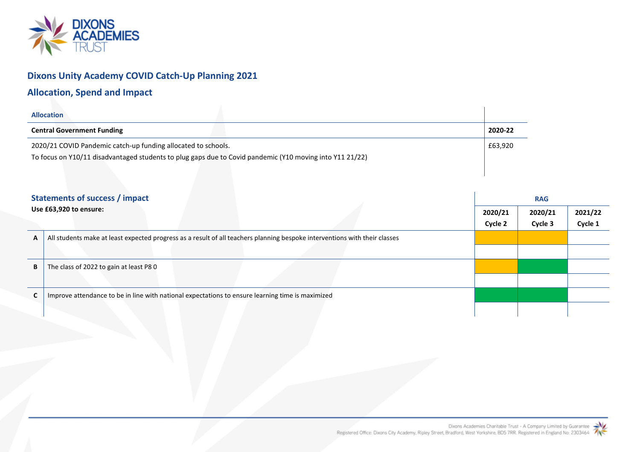

## **Dixons Unity Academy COVID Catch-Up Planning 2021**

## **Allocation, Spend and Impact**

| <b>Allocation</b>                                                                                        |         |  |  |  |  |  |
|----------------------------------------------------------------------------------------------------------|---------|--|--|--|--|--|
| <b>Central Government Funding</b>                                                                        | 2020-22 |  |  |  |  |  |
| 2020/21 COVID Pandemic catch-up funding allocated to schools.<br>£63,920                                 |         |  |  |  |  |  |
| To focus on Y10/11 disadvantaged students to plug gaps due to Covid pandemic (Y10 moving into Y11 21/22) |         |  |  |  |  |  |

| <b>Statements of success / impact</b>                                                                                      | <b>RAG</b> |         |         |  |  |
|----------------------------------------------------------------------------------------------------------------------------|------------|---------|---------|--|--|
| Use £63,920 to ensure:                                                                                                     | 2020/21    | 2020/21 | 2021/22 |  |  |
|                                                                                                                            | Cycle 2    | Cycle 3 | Cycle 1 |  |  |
| All students make at least expected progress as a result of all teachers planning bespoke interventions with their classes |            |         |         |  |  |
|                                                                                                                            |            |         |         |  |  |
| The class of 2022 to gain at least P80                                                                                     |            |         |         |  |  |
|                                                                                                                            |            |         |         |  |  |
| Improve attendance to be in line with national expectations to ensure learning time is maximized                           |            |         |         |  |  |
|                                                                                                                            |            |         |         |  |  |
|                                                                                                                            |            |         |         |  |  |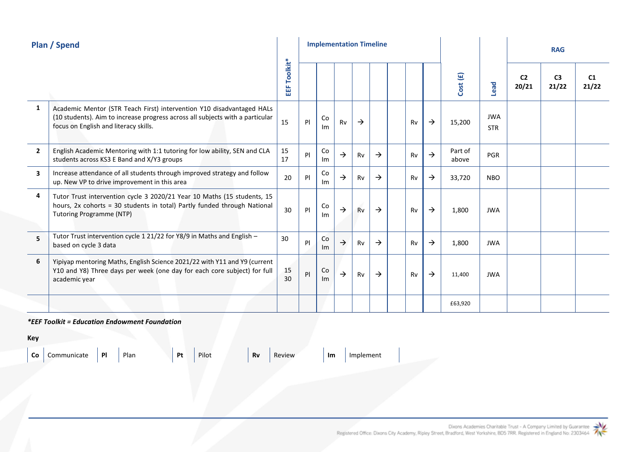| <b>Plan / Spend</b> |                                                                                                                                                                                                 |               |     | <b>Implementation Timeline</b> |               |               |               |    |               |                  |                          | <b>RAG</b>              |                         |             |
|---------------------|-------------------------------------------------------------------------------------------------------------------------------------------------------------------------------------------------|---------------|-----|--------------------------------|---------------|---------------|---------------|----|---------------|------------------|--------------------------|-------------------------|-------------------------|-------------|
|                     |                                                                                                                                                                                                 | Toolkit*<br>뜳 |     |                                |               |               |               |    |               | Cost (£)         | Lead                     | C <sub>2</sub><br>20/21 | C <sub>3</sub><br>21/22 | C1<br>21/22 |
| 1                   | Academic Mentor (STR Teach First) intervention Y10 disadvantaged HALs<br>(10 students). Aim to increase progress across all subjects with a particular<br>focus on English and literacy skills. | 15            | P   | Co<br>Im                       | Rv            | $\rightarrow$ |               | Rv | $\rightarrow$ | 15,200           | <b>JWA</b><br><b>STR</b> |                         |                         |             |
| $\overline{2}$      | English Academic Mentoring with 1:1 tutoring for low ability, SEN and CLA<br>students across KS3 E Band and X/Y3 groups                                                                         | 15<br>17      | PI  | Co<br>Im                       | $\rightarrow$ | Rv            | $\rightarrow$ | Rv | $\rightarrow$ | Part of<br>above | <b>PGR</b>               |                         |                         |             |
| 3                   | Increase attendance of all students through improved strategy and follow<br>up. New VP to drive improvement in this area                                                                        | 20            | PI. | Co<br>Im                       | $\rightarrow$ | Rv            | $\rightarrow$ | Rv | $\rightarrow$ | 33,720           | <b>NBO</b>               |                         |                         |             |
| 4                   | Tutor Trust intervention cycle 3 2020/21 Year 10 Maths (15 students, 15<br>hours, 2x cohorts = 30 students in total) Partly funded through National<br><b>Tutoring Programme (NTP)</b>          | 30            | P   | Co<br>Im                       | $\rightarrow$ | Rv            | $\rightarrow$ | Rv | $\rightarrow$ | 1,800            | <b>JWA</b>               |                         |                         |             |
| 5                   | Tutor Trust intervention cycle 1 21/22 for Y8/9 in Maths and English -<br>based on cycle 3 data                                                                                                 | 30            | PI. | Co<br>Im                       | $\rightarrow$ | Rv            | $\rightarrow$ | Rv | $\rightarrow$ | 1,800            | <b>JWA</b>               |                         |                         |             |
| 6                   | Yipiyap mentoring Maths, English Science 2021/22 with Y11 and Y9 (current<br>Y10 and Y8) Three days per week (one day for each core subject) for full<br>academic year                          | 15<br>30      | PI  | Co<br>Im                       | $\rightarrow$ | Rv            | $\rightarrow$ | Rv | $\rightarrow$ | 11,400           | <b>JWA</b>               |                         |                         |             |
|                     |                                                                                                                                                                                                 |               |     |                                |               |               |               |    |               | £63,920          |                          |                         |                         |             |

## *\*EEF Toolkit = Education Endowment Foundation*

**Key**

**Co** Communicate **Pl** Plan **Pt** Pilot **Rv** Review **Im** Implement